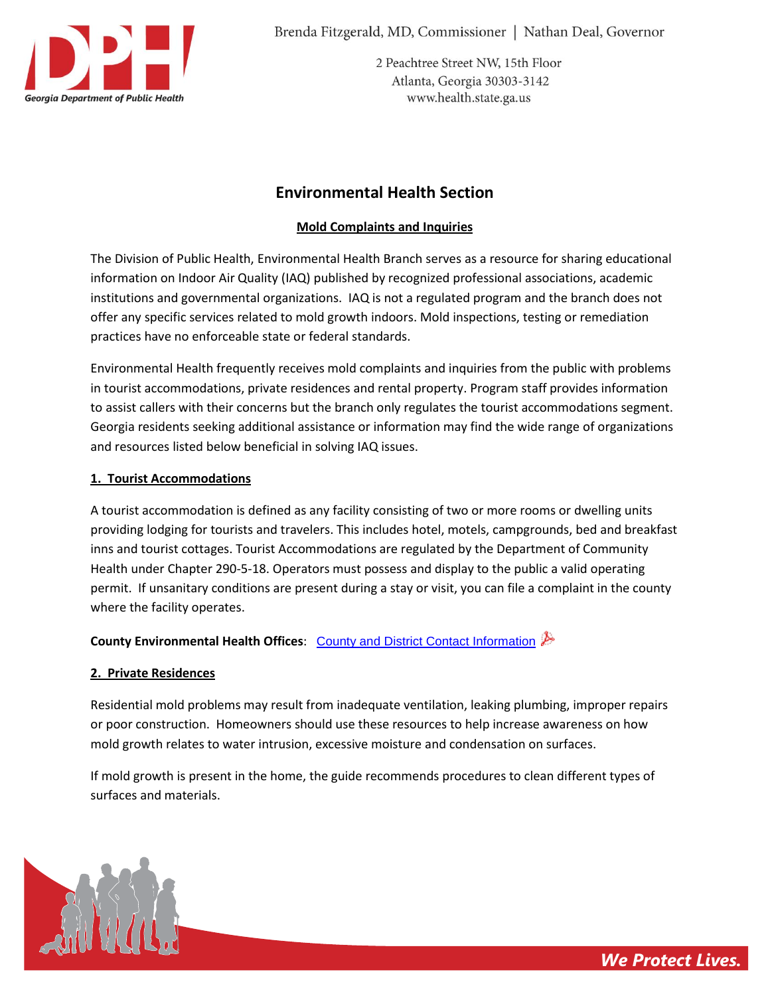

Brenda Fitzgerald, MD, Commissioner | Nathan Deal, Governor

2 Peachtree Street NW, 15th Floor Atlanta, Georgia 30303-3142 www.health.state.ga.us

# **Environmental Health Section**

## **Mold Complaints and Inquiries**

The Division of Public Health, Environmental Health Branch serves as a resource for sharing educational information on Indoor Air Quality (IAQ) published by recognized professional associations, academic institutions and governmental organizations. IAQ is not a regulated program and the branch does not offer any specific services related to mold growth indoors. Mold inspections, testing or remediation practices have no enforceable state or federal standards.

Environmental Health frequently receives mold complaints and inquiries from the public with problems in tourist accommodations, private residences and rental property. Program staff provides information to assist callers with their concerns but the branch only regulates the tourist accommodations segment. Georgia residents seeking additional assistance or information may find the wide range of organizations and resources listed below beneficial in solving IAQ issues.

## **1. Tourist Accommodations**

A tourist accommodation is defined as any facility consisting of two or more rooms or dwelling units providing lodging for tourists and travelers. This includes hotel, motels, campgrounds, bed and breakfast inns and tourist cottages. Tourist Accommodations are regulated by the Department of Community Health under Chapter 290-5-18. Operators must possess and display to the public a valid operating permit. If unsanitary conditions are present during a stay or visit, you can file a complaint in the county where the facility operates.

**County Environmental Health Offices**: [County and District Contact Information](http://health.state.ga.us/pdfs/environmental/Misc/contactinformation.pdf)

## **2. Private Residences**

Residential mold problems may result from inadequate ventilation, leaking plumbing, improper repairs or poor construction. Homeowners should use these resources to help increase awareness on how mold growth relates to water intrusion, excessive moisture and condensation on surfaces.

If mold growth is present in the home, the guide recommends procedures to clean different types of surfaces and materials.

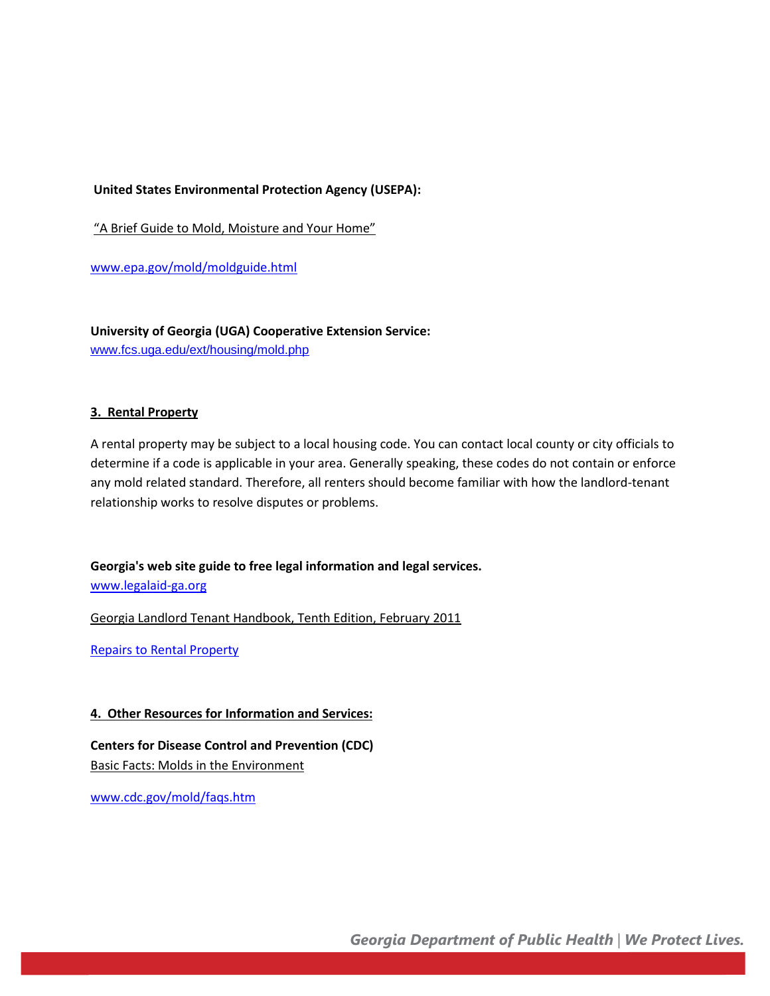#### **United States Environmental Protection Agency (USEPA):**

"A Brief Guide to Mold, Moisture and Your Home"

[www.epa.gov/mold/moldguide.html](http://www.epa.gov/mold/moldguide.html)

**University of Georgia (UGA) Cooperative Extension Service:** [www.fcs.uga.edu/ext/housing/mold.php](http://www.fcs.uga.edu/ext/housing/mold.php)

#### **3. Rental Property**

A rental property may be subject to a local housing code. You can contact local county or city officials to determine if a code is applicable in your area. Generally speaking, these codes do not contain or enforce any mold related standard. Therefore, all renters should become familiar with how the landlord-tenant relationship works to resolve disputes or problems.

**Georgia's web site guide to free legal information and legal services.**

[www.legalaid-ga.org](http://www.legalaid-ga.org/)

[Georgia Landlord Tenant Handbook, Tenth Edition, February 2011](http://www.dca.ga.gov/housing/HousingDevelopment/programs/downloads/Georgia_Landlord_Tenant_Handbook.pdf) 

[Repairs to Rental Property](http://www.legalaid-ga.org/GA/showdocument.cfm/County/%20/City/%20/demoMode/%3D%201/Language/1/State/GA/TextOnly/N/ZipCode/%20/LoggedIn/0/doctype/pdf/ichannelprofileid/40689/ichanneldocid/32212/iorganizationid/574/itopicID/450/iProblemCodeID/1630200/iChannelID/54/isubtopicid/1/iproblemcodeid/1630200) 

#### **4. Other Resources for Information and Services:**

**Centers for Disease Control and Prevention (CDC)** Basic Facts: Molds in the Environment

[www.cdc.gov/mold/faqs.htm](http://www.cdc.gov/mold/faqs.htm)